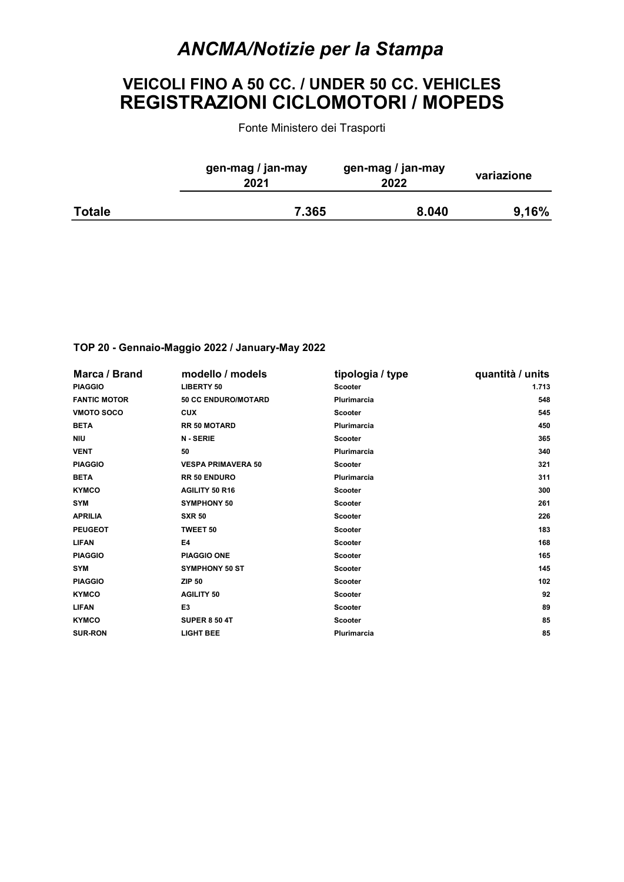## ANCMA/Notizie per la Stampa

## VEICOLI FINO A 50 CC. / UNDER 50 CC. VEHICLES REGISTRAZIONI CICLOMOTORI / MOPEDS

Fonte Ministero dei Trasporti

|               | gen-mag / jan-may<br>2021 | gen-mag / jan-may<br>2022 | variazione |
|---------------|---------------------------|---------------------------|------------|
| <b>Totale</b> | 7.365                     | 8.040                     | 9,16%      |

## TOP 20 - Gennaio-Maggio 2022 / January-May 2022

| Marca / Brand       | modello / models           | tipologia / type   | quantità / units |
|---------------------|----------------------------|--------------------|------------------|
| <b>PIAGGIO</b>      | <b>LIBERTY 50</b>          | <b>Scooter</b>     | 1.713            |
| <b>FANTIC MOTOR</b> | <b>50 CC ENDURO/MOTARD</b> | <b>Plurimarcia</b> | 548              |
| <b>VMOTO SOCO</b>   | <b>CUX</b>                 | <b>Scooter</b>     | 545              |
| <b>BETA</b>         | <b>RR 50 MOTARD</b>        | <b>Plurimarcia</b> | 450              |
| <b>NIU</b>          | <b>N-SERIE</b>             | <b>Scooter</b>     | 365              |
| <b>VENT</b>         | 50                         | <b>Plurimarcia</b> | 340              |
| <b>PIAGGIO</b>      | <b>VESPA PRIMAVERA 50</b>  | <b>Scooter</b>     | 321              |
| <b>BETA</b>         | <b>RR 50 ENDURO</b>        | <b>Plurimarcia</b> | 311              |
| <b>KYMCO</b>        | AGILITY 50 R16             | <b>Scooter</b>     | 300              |
| <b>SYM</b>          | <b>SYMPHONY 50</b>         | <b>Scooter</b>     | 261              |
| <b>APRILIA</b>      | <b>SXR 50</b>              | <b>Scooter</b>     | 226              |
| <b>PEUGEOT</b>      | <b>TWEET 50</b>            | <b>Scooter</b>     | 183              |
| <b>LIFAN</b>        | E4                         | <b>Scooter</b>     | 168              |
| <b>PIAGGIO</b>      | <b>PIAGGIO ONE</b>         | <b>Scooter</b>     | 165              |
| <b>SYM</b>          | <b>SYMPHONY 50 ST</b>      | <b>Scooter</b>     | 145              |
| <b>PIAGGIO</b>      | <b>ZIP 50</b>              | <b>Scooter</b>     | 102              |
| <b>KYMCO</b>        | <b>AGILITY 50</b>          | <b>Scooter</b>     | 92               |
| <b>LIFAN</b>        | E <sub>3</sub>             | <b>Scooter</b>     | 89               |
| <b>KYMCO</b>        | <b>SUPER 8 50 4T</b>       | <b>Scooter</b>     | 85               |
| <b>SUR-RON</b>      | <b>LIGHT BEE</b>           | Plurimarcia        | 85               |